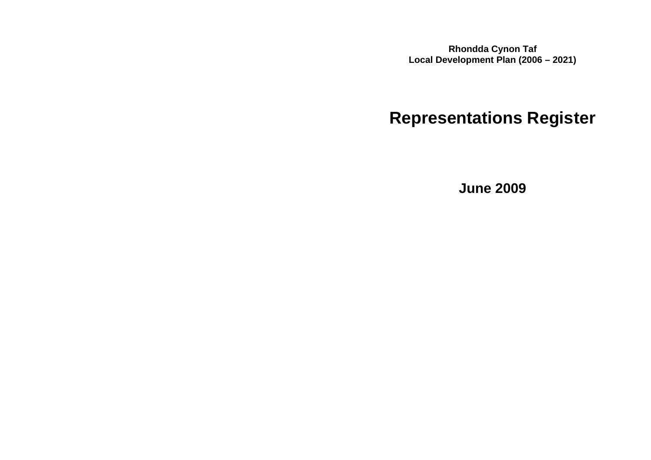**Rhondda Cynon Taf Local Development Plan (2006 – 2021)**

# **Representations Register**

**June 2009**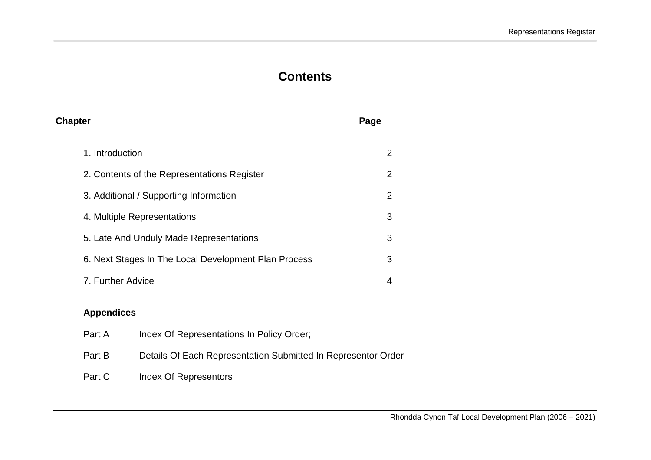## **Contents**

| <b>Chapter</b>                                       | Page           |
|------------------------------------------------------|----------------|
| 1. Introduction                                      | 2              |
| 2. Contents of the Representations Register          | 2              |
| 3. Additional / Supporting Information               | 2              |
| 4. Multiple Representations                          | 3              |
| 5. Late And Unduly Made Representations              | 3              |
| 6. Next Stages In The Local Development Plan Process | 3              |
| 7. Further Advice                                    | $\overline{4}$ |
|                                                      |                |

### **Appendices**

| Index Of Representations In Policy Order;                     |
|---------------------------------------------------------------|
| Details Of Each Representation Submitted In Representor Order |
| Index Of Representors                                         |
|                                                               |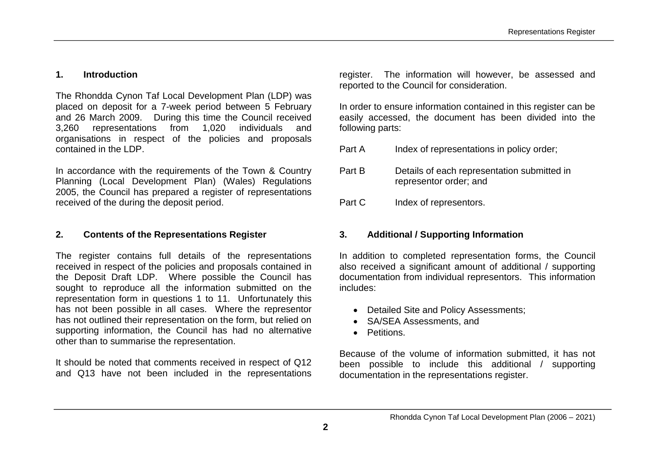#### **1. Introduction**

The Rhondda Cynon Taf Local Development Plan (LDP) was placed on deposit for a 7-week period between 5 February and 26 March 2009. During this time the Council received 3,260 representations from 1,020 individuals and organisations in respect of the policies and proposals contained in the LDP.

In accordance with the requirements of the Town & Country Planning (Local Development Plan) (Wales) Regulations 2005, the Council has prepared a register of representations received of the during the deposit period.

#### **2. Contents of the Representations Register**

The register contains full details of the representations received in respect of the policies and proposals contained in the Deposit Draft LDP. Where possible the Council has sought to reproduce all the information submitted on the representation form in questions 1 to 11. Unfortunately this has not been possible in all cases. Where the representor has not outlined their representation on the form, but relied on supporting information, the Council has had no alternative other than to summarise the representation.

It should be noted that comments received in respect of Q12 and Q13 have not been included in the representations register. The information will however, be assessed and reported to the Council for consideration.

In order to ensure information contained in this register can be easily accessed, the document has been divided into the following parts:

- Part A Index of representations in policy order:
- Part B Details of each representation submitted in representor order; and
- Part C Index of representors.

#### **3. Additional / Supporting Information**

In addition to completed representation forms, the Council also received a significant amount of additional / supporting documentation from individual representors. This information includes:

- Detailed Site and Policy Assessments;
- SA/SEA Assessments, and
- Petitions.

Because of the volume of information submitted, it has not been possible to include this additional / supporting documentation in the representations register.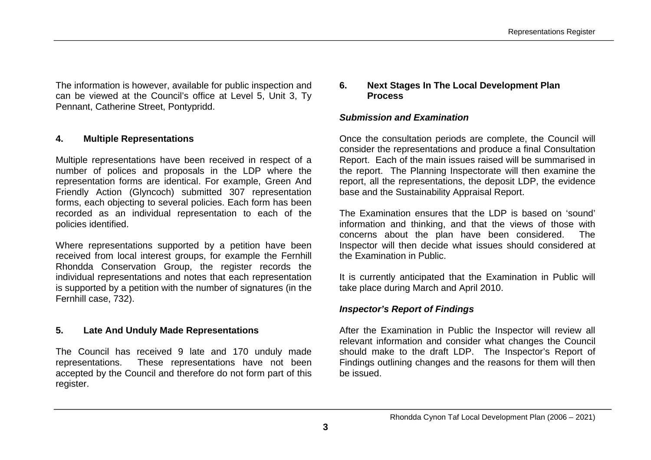The information is however, available for public inspection and can be viewed at the Council's office at Level 5, Unit 3, Ty Pennant, Catherine Street, Pontypridd.

#### **4. Multiple Representations**

Multiple representations have been received in respect of a number of polices and proposals in the LDP where the representation forms are identical. For example, Green And Friendly Action (Glyncoch) submitted 307 representation forms, each objecting to several policies. Each form has been recorded as an individual representation to each of the policies identified.

Where representations supported by a petition have been received from local interest groups, for example the Fernhill Rhondda Conservation Group, the register records the individual representations and notes that each representation is supported by a petition with the number of signatures (in the Fernhill case, 732).

#### **5. Late And Unduly Made Representations**

The Council has received 9 late and 170 unduly made representations. These representations have not been accepted by the Council and therefore do not form part of this register.

#### **6. Next Stages In The Local Development Plan Process**

#### *Submission and Examination*

Once the consultation periods are complete, the Council will consider the representations and produce a final Consultation Report. Each of the main issues raised will be summarised in the report. The Planning Inspectorate will then examine the report, all the representations, the deposit LDP, the evidence base and the Sustainability Appraisal Report.

The Examination ensures that the LDP is based on 'sound' information and thinking, and that the views of those with concerns about the plan have been considered. The Inspector will then decide what issues should considered at the Examination in Public.

It is currently anticipated that the Examination in Public will take place during March and April 2010.

#### *Inspector's Report of Findings*

After the Examination in Public the Inspector will review all relevant information and consider what changes the Council should make to the draft LDP. The Inspector's Report of Findings outlining changes and the reasons for them will then be issued.